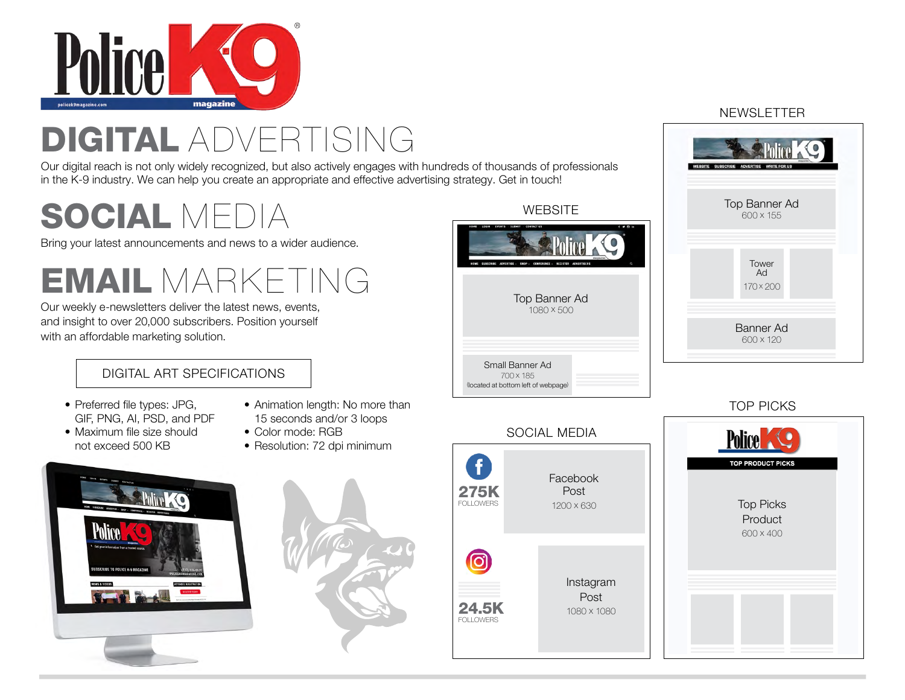

# DIGITAL ADVERTISING

Our digital reach is not only widely recognized, but also actively engages with hundre in the K-9 industry. We can help you create an appropriate and effective advertising strategy. Get in the K-9

# SOCIAL MEDIA

Bring your latest announcements and news to a wider audience.

EMAIL MARKETING

Our weekly e-newsletters deliver the latest news, events, and insight to over 20,000 subscribers. Position yourself with an affordable marketing solution.

## DIGITAL ART SPECIFICATIONS

- Preferred file types: JPG, GIF, PNG, AI, PSD, and PDF
- Animation length: No more than 15 seconds and/or 3 loops
- Maximum file size should not exceed 500 KB
- Color mode: RGB
- Resolution: 72 dpi minimum





| eds of thousands of professionals<br>strategy. Get in touch! |                                                                                                                                                        |  |  |  |  |  |
|--------------------------------------------------------------|--------------------------------------------------------------------------------------------------------------------------------------------------------|--|--|--|--|--|
| <b>WEBSITE</b>                                               |                                                                                                                                                        |  |  |  |  |  |
|                                                              | HOME<br>LOCIN<br>CONTACT US<br><b>EVENTS</b><br>sunun<br>al ti<br><b><i><u>ARRAIN</u></i></b><br><b>REGISTER</b><br><b>ADVERTISERS</b><br>CONFERENCE - |  |  |  |  |  |
|                                                              | Top Banner Ad<br>1080 × 500                                                                                                                            |  |  |  |  |  |
|                                                              | Small Banner Ad<br>700 x 185<br>(located at bottom left of webpage)                                                                                    |  |  |  |  |  |
|                                                              |                                                                                                                                                        |  |  |  |  |  |

# SOCIAL MEDIA A Facebook **275K**<br>FOLLOWERS Post 1200 x 630 ര Instagram Post 24.5K 1080 x 1080

#### NEWSLETTER



### TOP PICKS